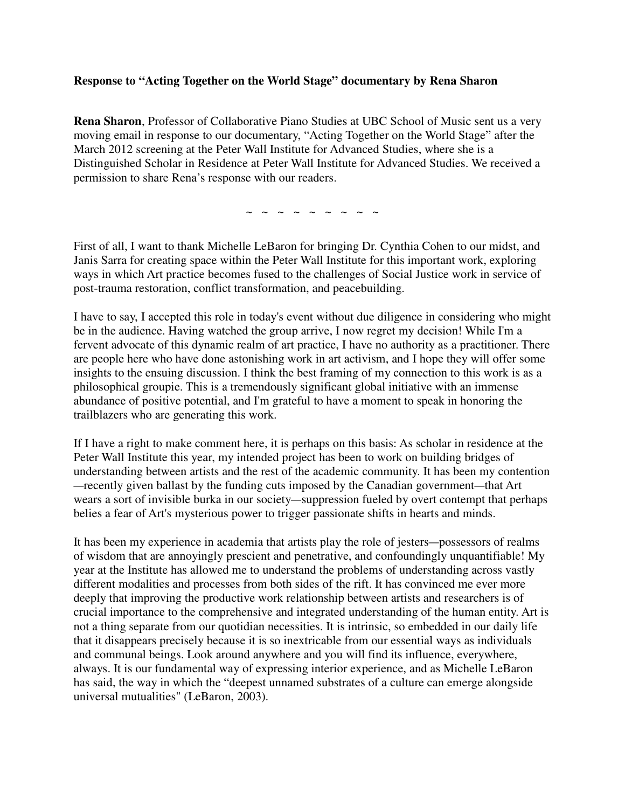## **Response to "Acting Together on the World Stage" documentary by Rena Sharon**

**Rena Sharon**, Professor of Collaborative Piano Studies at UBC School of Music sent us a very moving email in response to our documentary, "Acting Together on the World Stage" after the March 2012 screening at the Peter Wall Institute for Advanced Studies, where she is a Distinguished Scholar in Residence at Peter Wall Institute for Advanced Studies. We received a permission to share Rena's response with our readers.

~ ~ ~ ~ ~ ~ ~ ~ ~

First of all, I want to thank Michelle LeBaron for bringing Dr. Cynthia Cohen to our midst, and Janis Sarra for creating space within the Peter Wall Institute for this important work, exploring ways in which Art practice becomes fused to the challenges of Social Justice work in service of post-trauma restoration, conflict transformation, and peacebuilding.

I have to say, I accepted this role in today's event without due diligence in considering who might be in the audience. Having watched the group arrive, I now regret my decision! While I'm a fervent advocate of this dynamic realm of art practice, I have no authority as a practitioner. There are people here who have done astonishing work in art activism, and I hope they will offer some insights to the ensuing discussion. I think the best framing of my connection to this work is as a philosophical groupie. This is a tremendously significant global initiative with an immense abundance of positive potential, and I'm grateful to have a moment to speak in honoring the trailblazers who are generating this work.

If I have a right to make comment here, it is perhaps on this basis: As scholar in residence at the Peter Wall Institute this year, my intended project has been to work on building bridges of understanding between artists and the rest of the academic community. It has been my contention —recently given ballast by the funding cuts imposed by the Canadian government—that Art wears a sort of invisible burka in our society—suppression fueled by overt contempt that perhaps belies a fear of Art's mysterious power to trigger passionate shifts in hearts and minds.

It has been my experience in academia that artists play the role of jesters—possessors of realms of wisdom that are annoyingly prescient and penetrative, and confoundingly unquantifiable! My year at the Institute has allowed me to understand the problems of understanding across vastly different modalities and processes from both sides of the rift. It has convinced me ever more deeply that improving the productive work relationship between artists and researchers is of crucial importance to the comprehensive and integrated understanding of the human entity. Art is not a thing separate from our quotidian necessities. It is intrinsic, so embedded in our daily life that it disappears precisely because it is so inextricable from our essential ways as individuals and communal beings. Look around anywhere and you will find its influence, everywhere, always. It is our fundamental way of expressing interior experience, and as Michelle LeBaron has said, the way in which the "deepest unnamed substrates of a culture can emerge alongside universal mutualities" (LeBaron, 2003).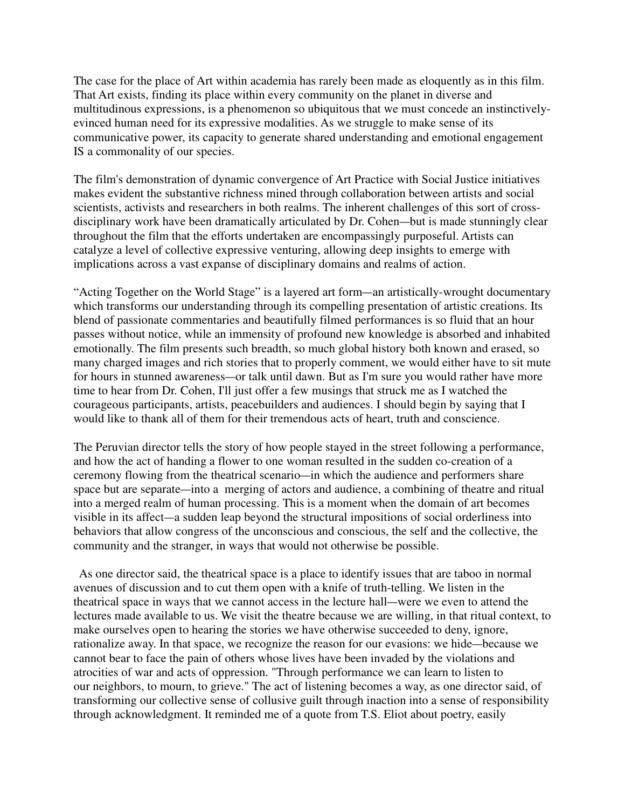The case for the place of Art within academia has rarely been made as eloquently as in this film. That Art exists, finding its place within every community on the planet in diverse and multitudinous expressions, is a phenomenon so ubiquitous that we must concede an instinctivelyevinced human need for its expressive modalities. As we struggle to make sense of its communicative power, its capacity to generate shared understanding and emotional engagement IS a commonality of our species.

The film's demonstration of dynamic convergence of Art Practice with Social Justice initiatives makes evident the substantive richness mined through collaboration between artists and social scientists, activists and researchers in both realms. The inherent challenges of this sort of crossdisciplinary work have been dramatically articulated by Dr. Cohen—but is made stunningly clear throughout the film that the efforts undertaken are encompassingly purposeful. Artists can catalyze a level of collective expressive venturing, allowing deep insights to emerge with implications across a vast expanse of disciplinary domains and realms of action.

"Acting Together on the World Stage" is a layered art form—an artistically-wrought documentary which transforms our understanding through its compelling presentation of artistic creations. Its blend of passionate commentaries and beautifully filmed performances is so fluid that an hour passes without notice, while an immensity of profound new knowledge is absorbed and inhabited emotionally. The film presents such breadth, so much global history both known and erased, so many charged images and rich stories that to properly comment, we would either have to sit mute for hours in stunned awareness—or talk until dawn. But as I'm sure you would rather have more time to hear from Dr. Cohen, I'll just offer a few musings that struck me as I watched the courageous participants, artists, peacebuilders and audiences. I should begin by saying that I would like to thank all of them for their tremendous acts of heart, truth and conscience.

The Peruvian director tells the story of how people stayed in the street following a performance, and how the act of handing a flower to one woman resulted in the sudden co-creation of a ceremony flowing from the theatrical scenario—in which the audience and performers share space but are separate—into a merging of actors and audience, a combining of theatre and ritual into a merged realm of human processing. This is a moment when the domain of art becomes visible in its affect—a sudden leap beyond the structural impositions of social orderliness into behaviors that allow congress of the unconscious and conscious, the self and the collective, the community and the stranger, in ways that would not otherwise be possible.

 As one director said, the theatrical space is a place to identify issues that are taboo in normal avenues of discussion and to cut them open with a knife of truth-telling. We listen in the theatrical space in ways that we cannot access in the lecture hall—were we even to attend the lectures made available to us. We visit the theatre because we are willing, in that ritual context, to make ourselves open to hearing the stories we have otherwise succeeded to deny, ignore, rationalize away. In that space, we recognize the reason for our evasions: we hide—because we cannot bear to face the pain of others whose lives have been invaded by the violations and atrocities of war and acts of oppression. "Through performance we can learn to listen to our neighbors, to mourn, to grieve." The act of listening becomes a way, as one director said, of transforming our collective sense of collusive guilt through inaction into a sense of responsibility through acknowledgment. It reminded me of a quote from T.S. Eliot about poetry, easily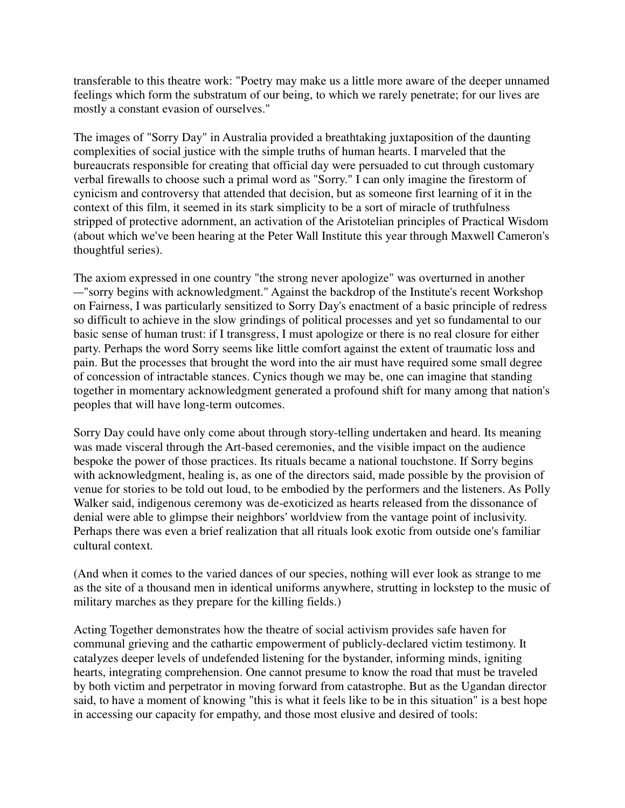transferable to this theatre work: "Poetry may make us a little more aware of the deeper unnamed feelings which form the substratum of our being, to which we rarely penetrate; for our lives are mostly a constant evasion of ourselves."

The images of "Sorry Day" in Australia provided a breathtaking juxtaposition of the daunting complexities of social justice with the simple truths of human hearts. I marveled that the bureaucrats responsible for creating that official day were persuaded to cut through customary verbal firewalls to choose such a primal word as "Sorry." I can only imagine the firestorm of cynicism and controversy that attended that decision, but as someone first learning of it in the context of this film, it seemed in its stark simplicity to be a sort of miracle of truthfulness stripped of protective adornment, an activation of the Aristotelian principles of Practical Wisdom (about which we've been hearing at the Peter Wall Institute this year through Maxwell Cameron's thoughtful series).

The axiom expressed in one country "the strong never apologize" was overturned in another —"sorry begins with acknowledgment." Against the backdrop of the Institute's recent Workshop on Fairness, I was particularly sensitized to Sorry Day's enactment of a basic principle of redress so difficult to achieve in the slow grindings of political processes and yet so fundamental to our basic sense of human trust: if I transgress, I must apologize or there is no real closure for either party. Perhaps the word Sorry seems like little comfort against the extent of traumatic loss and pain. But the processes that brought the word into the air must have required some small degree of concession of intractable stances. Cynics though we may be, one can imagine that standing together in momentary acknowledgment generated a profound shift for many among that nation's peoples that will have long-term outcomes.

Sorry Day could have only come about through story-telling undertaken and heard. Its meaning was made visceral through the Art-based ceremonies, and the visible impact on the audience bespoke the power of those practices. Its rituals became a national touchstone. If Sorry begins with acknowledgment, healing is, as one of the directors said, made possible by the provision of venue for stories to be told out loud, to be embodied by the performers and the listeners. As Polly Walker said, indigenous ceremony was de-exoticized as hearts released from the dissonance of denial were able to glimpse their neighbors' worldview from the vantage point of inclusivity. Perhaps there was even a brief realization that all rituals look exotic from outside one's familiar cultural context.

(And when it comes to the varied dances of our species, nothing will ever look as strange to me as the site of a thousand men in identical uniforms anywhere, strutting in lockstep to the music of military marches as they prepare for the killing fields.)

Acting Together demonstrates how the theatre of social activism provides safe haven for communal grieving and the cathartic empowerment of publicly-declared victim testimony. It catalyzes deeper levels of undefended listening for the bystander, informing minds, igniting hearts, integrating comprehension. One cannot presume to know the road that must be traveled by both victim and perpetrator in moving forward from catastrophe. But as the Ugandan director said, to have a moment of knowing "this is what it feels like to be in this situation" is a best hope in accessing our capacity for empathy, and those most elusive and desired of tools: